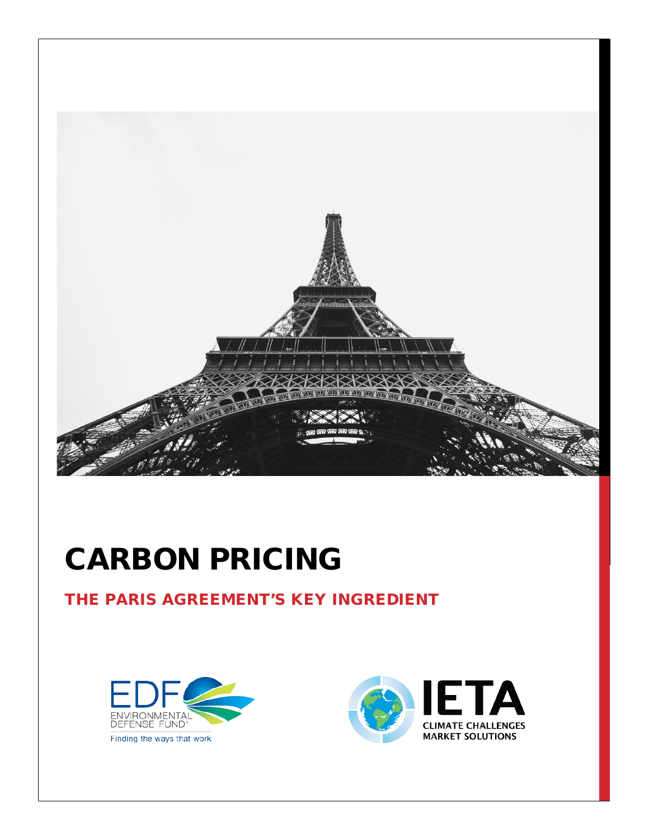

# CARBON PRICING

#### THE PARIS AGREEMENT'S KEY INGREDIENT



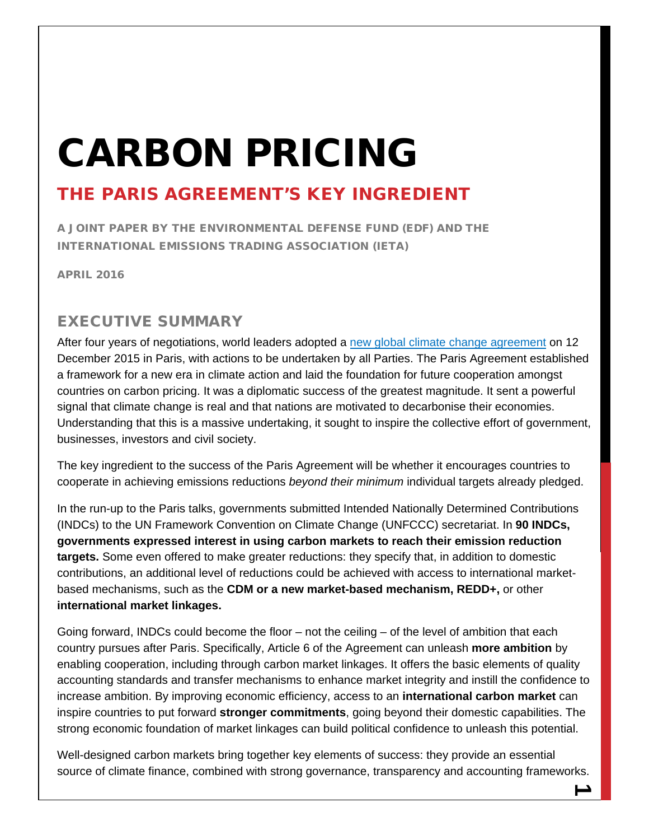# CARBON PRICING

### THE PARIS AGREEMENT'S KEY INGREDIENT

A JOINT PAPER BY THE ENVIRONMENTAL DEFENSE FUND (EDF) AND THE INTERNATIONAL EMISSIONS TRADING ASSOCIATION (IETA)

APRIL 2016

#### EXECUTIVE SUMMARY

After four years of negotiations, world leaders adopted a [new global climate change agreement](http://unfccc.int/resource/docs/2015/cop21/eng/l09r01.pdf) on 12 December 2015 in Paris, with actions to be undertaken by all Parties. The Paris Agreement established a framework for a new era in climate action and laid the foundation for future cooperation amongst countries on carbon pricing. It was a diplomatic success of the greatest magnitude. It sent a powerful signal that climate change is real and that nations are motivated to decarbonise their economies. Understanding that this is a massive undertaking, it sought to inspire the collective effort of government, businesses, investors and civil society.

The key ingredient to the success of the Paris Agreement will be whether it encourages countries to cooperate in achieving emissions reductions *beyond their minimum* individual targets already pledged.

In the run-up to the Paris talks, governments submitted Intended Nationally Determined Contributions (INDCs) to the UN Framework Convention on Climate Change (UNFCCC) secretariat. In **90 INDCs, governments expressed interest in using carbon markets to reach their emission reduction targets.** Some even offered to make greater reductions: they specify that, in addition to domestic contributions, an additional level of reductions could be achieved with access to international marketbased mechanisms, such as the **CDM or a new market-based mechanism, REDD+,** or other **international market linkages.**

Going forward, INDCs could become the floor – not the ceiling – of the level of ambition that each country pursues after Paris. Specifically, Article 6 of the Agreement can unleash **more ambition** by enabling cooperation, including through carbon market linkages. It offers the basic elements of quality accounting standards and transfer mechanisms to enhance market integrity and instill the confidence to increase ambition. By improving economic efficiency, access to an **international carbon market** can inspire countries to put forward **stronger commitments**, going beyond their domestic capabilities. The strong economic foundation of market linkages can build political confidence to unleash this potential.

Well-designed carbon markets bring together key elements of success: they provide an essential source of climate finance, combined with strong governance, transparency and accounting frameworks.

**1**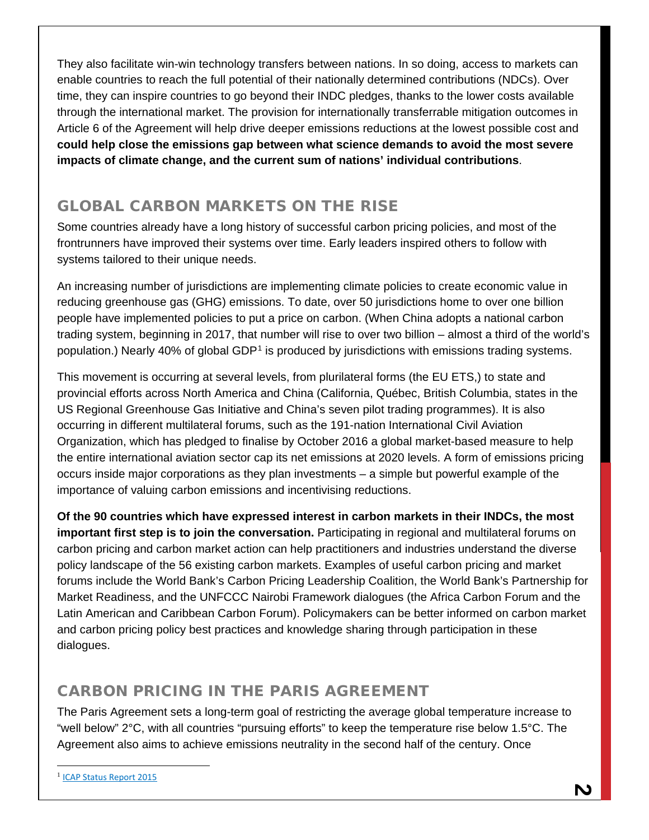They also facilitate win-win technology transfers between nations. In so doing, access to markets can enable countries to reach the full potential of their nationally determined contributions (NDCs). Over time, they can inspire countries to go beyond their INDC pledges, thanks to the lower costs available through the international market. The provision for internationally transferrable mitigation outcomes in Article 6 of the Agreement will help drive deeper emissions reductions at the lowest possible cost and **could help close the emissions gap between what science demands to avoid the most severe impacts of climate change, and the current sum of nations' individual contributions**.

#### GLOBAL CARBON MARKETS ON THE RISE

Some countries already have a long history of successful carbon pricing policies, and most of the frontrunners have improved their systems over time. Early leaders inspired others to follow with systems tailored to their unique needs.

An increasing number of jurisdictions are implementing climate policies to create economic value in reducing greenhouse gas (GHG) emissions. To date, over 50 jurisdictions home to over one billion people have implemented policies to put a price on carbon. (When China adopts a national carbon trading system, beginning in 2017, that number will rise to over two billion – almost a third of the world's population.) Nearly 40% of global GDP[1](#page-2-0) is produced by jurisdictions with emissions trading systems.

This movement is occurring at several levels, from plurilateral forms (the EU ETS,) to state and provincial efforts across North America and China (California, Québec, British Columbia, states in the US Regional Greenhouse Gas Initiative and China's seven pilot trading programmes). It is also occurring in different multilateral forums, such as the 191-nation International Civil Aviation Organization, which has pledged to finalise by October 2016 a global market-based measure to help the entire international aviation sector cap its net emissions at 2020 levels. A form of emissions pricing occurs inside major corporations as they plan investments – a simple but powerful example of the importance of valuing carbon emissions and incentivising reductions.

**Of the 90 countries which have expressed interest in carbon markets in their INDCs, the most important first step is to join the conversation.** Participating in regional and multilateral forums on carbon pricing and carbon market action can help practitioners and industries understand the diverse policy landscape of the 56 existing carbon markets. Examples of useful carbon pricing and market forums include the World Bank's Carbon Pricing Leadership Coalition, the World Bank's Partnership for Market Readiness, and the UNFCCC Nairobi Framework dialogues (the Africa Carbon Forum and the Latin American and Caribbean Carbon Forum). Policymakers can be better informed on carbon market and carbon pricing policy best practices and knowledge sharing through participation in these dialogues.

#### CARBON PRICING IN THE PARIS AGREEMENT

The Paris Agreement sets a long-term goal of restricting the average global temperature increase to "well below" 2°C, with all countries "pursuing efforts" to keep the temperature rise below 1.5°C. The Agreement also aims to achieve emissions neutrality in the second half of the century. Once

 $\overline{a}$ 

<span id="page-2-0"></span><sup>1</sup> [ICAP Status Report 2015](https://icapcarbonaction.com/status-report-2015)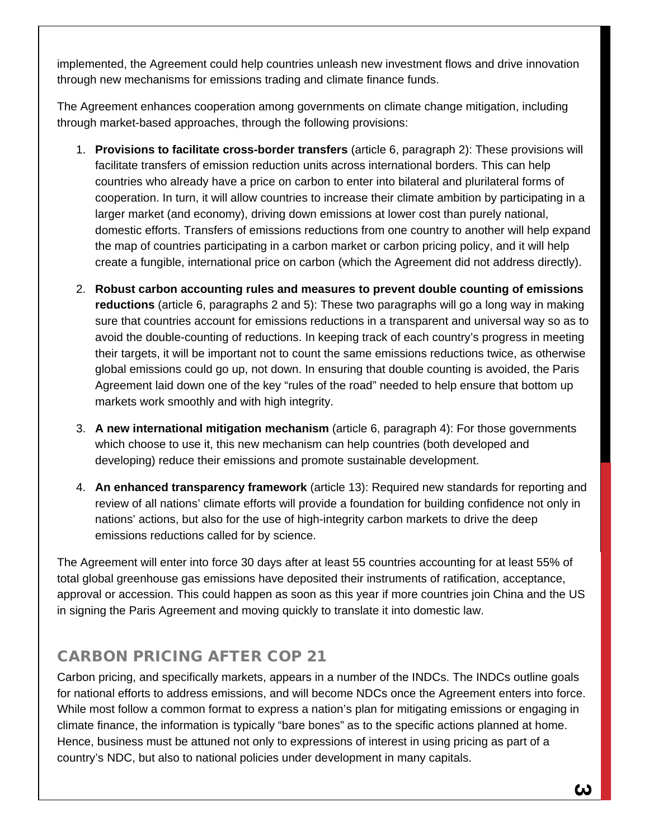implemented, the Agreement could help countries unleash new investment flows and drive innovation through new mechanisms for emissions trading and climate finance funds.

The Agreement enhances cooperation among governments on climate change mitigation, including through market-based approaches, through the following provisions:

- 1. **Provisions to facilitate cross-border transfers** (article 6, paragraph 2): These provisions will facilitate transfers of emission reduction units across international borders. This can help countries who already have a price on carbon to enter into bilateral and plurilateral forms of cooperation. In turn, it will allow countries to increase their climate ambition by participating in a larger market (and economy), driving down emissions at lower cost than purely national, domestic efforts. Transfers of emissions reductions from one country to another will help expand the map of countries participating in a carbon market or carbon pricing policy, and it will help create a fungible, international price on carbon (which the Agreement did not address directly).
- 2. **Robust carbon accounting rules and measures to prevent double counting of emissions reductions** (article 6, paragraphs 2 and 5): These two paragraphs will go a long way in making sure that countries account for emissions reductions in a transparent and universal way so as to avoid the double-counting of reductions. In keeping track of each country's progress in meeting their targets, it will be important not to count the same emissions reductions twice, as otherwise global emissions could go up, not down. In ensuring that double counting is avoided, the Paris Agreement laid down one of the key "rules of the road" needed to help ensure that bottom up markets work smoothly and with high integrity.
- 3. **A new international mitigation mechanism** (article 6, paragraph 4): For those governments which choose to use it, this new mechanism can help countries (both developed and developing) reduce their emissions and promote sustainable development.
- 4. **An enhanced transparency framework** (article 13): Required new standards for reporting and review of all nations' climate efforts will provide a foundation for building confidence not only in nations' actions, but also for the use of high-integrity carbon markets to drive the deep emissions reductions called for by science.

The Agreement will enter into force 30 days after at least 55 countries accounting for at least 55% of total global greenhouse gas emissions have deposited their instruments of ratification, acceptance, approval or accession. This could happen as soon as this year if more countries join China and the US in signing the Paris Agreement and moving quickly to translate it into domestic law.

#### CARBON PRICING AFTER COP 21

Carbon pricing, and specifically markets, appears in a number of the INDCs. The INDCs outline goals for national efforts to address emissions, and will become NDCs once the Agreement enters into force. While most follow a common format to express a nation's plan for mitigating emissions or engaging in climate finance, the information is typically "bare bones" as to the specific actions planned at home. Hence, business must be attuned not only to expressions of interest in using pricing as part of a country's NDC, but also to national policies under development in many capitals.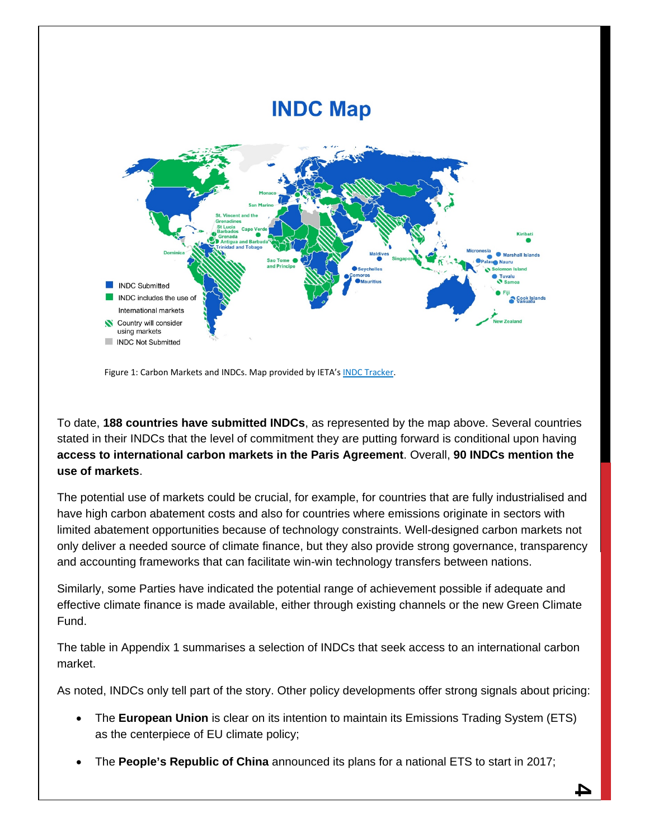

Figure 1: Carbon Markets and INDCs. Map provided by IETA'[s INDC Tracker.](https://docs.google.com/spreadsheets/d/1YgIQiiucWW9vuDUAMeRstzzLxTXi6zFWtFVClqtRTe4/edit?usp=sharing)

To date, **188 countries have submitted INDCs**, as represented by the map above. Several countries stated in their INDCs that the level of commitment they are putting forward is conditional upon having **access to international carbon markets in the Paris Agreement**. Overall, **90 INDCs mention the use of markets**.

The potential use of markets could be crucial, for example, for countries that are fully industrialised and have high carbon abatement costs and also for countries where emissions originate in sectors with limited abatement opportunities because of technology constraints. Well-designed carbon markets not only deliver a needed source of climate finance, but they also provide strong governance, transparency and accounting frameworks that can facilitate win-win technology transfers between nations.

Similarly, some Parties have indicated the potential range of achievement possible if adequate and effective climate finance is made available, either through existing channels or the new Green Climate Fund.

The table in Appendix 1 summarises a selection of INDCs that seek access to an international carbon market.

As noted, INDCs only tell part of the story. Other policy developments offer strong signals about pricing:

- The **European Union** is clear on its intention to maintain its Emissions Trading System (ETS) as the centerpiece of EU climate policy;
- The **People's Republic of China** announced its plans for a national ETS to start in 2017;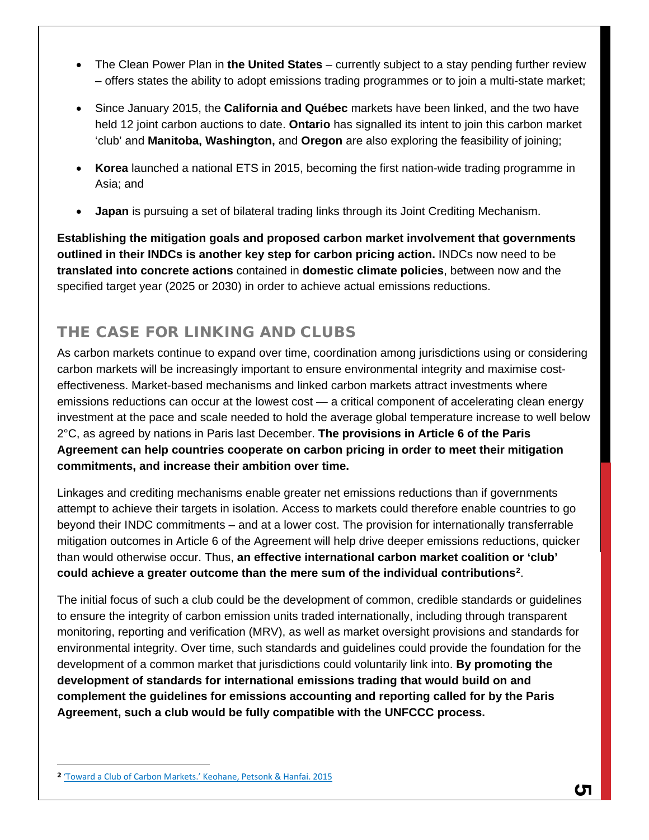- The Clean Power Plan in **the United States** currently subject to a stay pending further review – offers states the ability to adopt emissions trading programmes or to join a multi-state market;
- Since January 2015, the **California and Québec** markets have been linked, and the two have held 12 joint carbon auctions to date. **Ontario** has signalled its intent to join this carbon market 'club' and **Manitoba, Washington,** and **Oregon** are also exploring the feasibility of joining;
- **Korea** launched a national ETS in 2015, becoming the first nation-wide trading programme in Asia; and
- **Japan** is pursuing a set of bilateral trading links through its Joint Crediting Mechanism.

**Establishing the mitigation goals and proposed carbon market involvement that governments outlined in their INDCs is another key step for carbon pricing action.** INDCs now need to be **translated into concrete actions** contained in **domestic climate policies**, between now and the specified target year (2025 or 2030) in order to achieve actual emissions reductions.

#### THE CASE FOR LINKING AND CLUBS

As carbon markets continue to expand over time, coordination among jurisdictions using or considering carbon markets will be increasingly important to ensure environmental integrity and maximise costeffectiveness. Market-based mechanisms and linked carbon markets attract investments where emissions reductions can occur at the lowest cost — a critical component of accelerating clean energy investment at the pace and scale needed to hold the average global temperature increase to well below 2°C, as agreed by nations in Paris last December. **The provisions in Article 6 of the Paris Agreement can help countries cooperate on carbon pricing in order to meet their mitigation commitments, and increase their ambition over time.** 

Linkages and crediting mechanisms enable greater net emissions reductions than if governments attempt to achieve their targets in isolation. Access to markets could therefore enable countries to go beyond their INDC commitments – and at a lower cost. The provision for internationally transferrable mitigation outcomes in Article 6 of the Agreement will help drive deeper emissions reductions, quicker than would otherwise occur. Thus, **an effective international carbon market coalition or 'club' could achieve a greater outcome than the mere sum of the individual contributions[2](#page-5-0)** .

The initial focus of such a club could be the development of common, credible standards or guidelines to ensure the integrity of carbon emission units traded internationally, including through transparent monitoring, reporting and verification (MRV), as well as market oversight provisions and standards for environmental integrity. Over time, such standards and guidelines could provide the foundation for the development of a common market that jurisdictions could voluntarily link into. **By promoting the development of standards for international emissions trading that would build on and complement the guidelines for emissions accounting and reporting called for by the Paris Agreement, such a club would be fully compatible with the UNFCCC process.** 

 $\overline{a}$ 

<span id="page-5-0"></span><sup>2</sup> ['Toward a Club of Carbon Markets.' Keohane, Petsonk & Hanfai. 2015](http://link.springer.com/content/pdf/10.1007%2Fs10584-015-1506-z.pdf)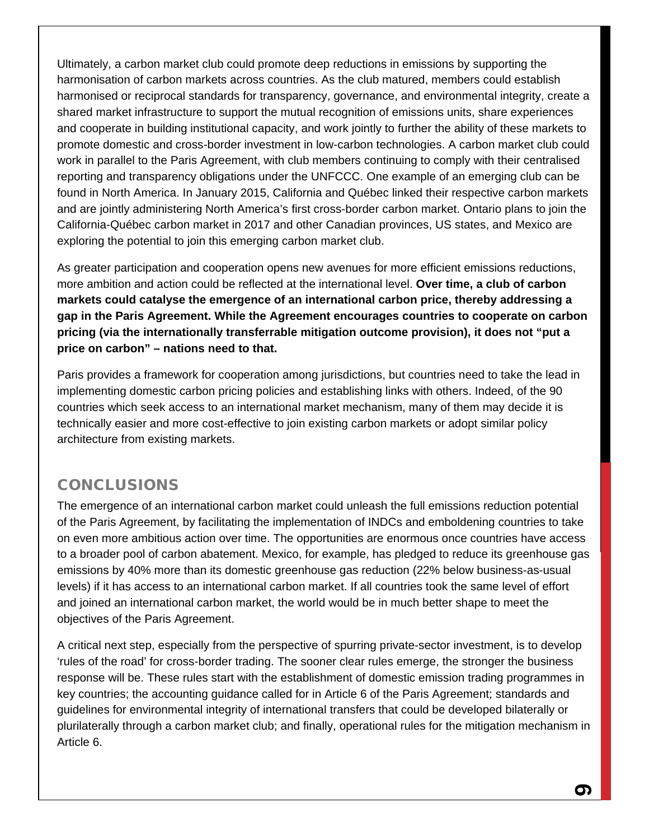Ultimately, a carbon market club could promote deep reductions in emissions by supporting the harmonisation of carbon markets across countries. As the club matured, members could establish harmonised or reciprocal standards for transparency, governance, and environmental integrity, create a shared market infrastructure to support the mutual recognition of emissions units, share experiences and cooperate in building institutional capacity, and work jointly to further the ability of these markets to promote domestic and cross-border investment in low-carbon technologies. A carbon market club could work in parallel to the Paris Agreement, with club members continuing to comply with their centralised reporting and transparency obligations under the UNFCCC. One example of an emerging club can be found in North America. In January 2015, California and Québec linked their respective carbon markets and are jointly administering North America's first cross-border carbon market. Ontario plans to join the California-Québec carbon market in 2017 and other Canadian provinces, US states, and Mexico are exploring the potential to join this emerging carbon market club.

As greater participation and cooperation opens new avenues for more efficient emissions reductions, more ambition and action could be reflected at the international level. **Over time, a club of carbon markets could catalyse the emergence of an international carbon price, thereby addressing a gap in the Paris Agreement. While the Agreement encourages countries to cooperate on carbon pricing (via the internationally transferrable mitigation outcome provision), it does not "put a price on carbon" – nations need to that.**

Paris provides a framework for cooperation among jurisdictions, but countries need to take the lead in implementing domestic carbon pricing policies and establishing links with others. Indeed, of the 90 countries which seek access to an international market mechanism, many of them may decide it is technically easier and more cost-effective to join existing carbon markets or adopt similar policy architecture from existing markets.

#### **CONCLUSIONS**

The emergence of an international carbon market could unleash the full emissions reduction potential of the Paris Agreement, by facilitating the implementation of INDCs and emboldening countries to take on even more ambitious action over time. The opportunities are enormous once countries have access to a broader pool of carbon abatement. Mexico, for example, has pledged to reduce its greenhouse gas emissions by 40% more than its domestic greenhouse gas reduction (22% below business-as-usual levels) if it has access to an international carbon market. If all countries took the same level of effort and joined an international carbon market, the world would be in much better shape to meet the objectives of the Paris Agreement.

A critical next step, especially from the perspective of spurring private-sector investment, is to develop 'rules of the road' for cross-border trading. The sooner clear rules emerge, the stronger the business response will be. These rules start with the establishment of domestic emission trading programmes in key countries; the accounting guidance called for in Article 6 of the Paris Agreement; standards and guidelines for environmental integrity of international transfers that could be developed bilaterally or plurilaterally through a carbon market club; and finally, operational rules for the mitigation mechanism in Article 6.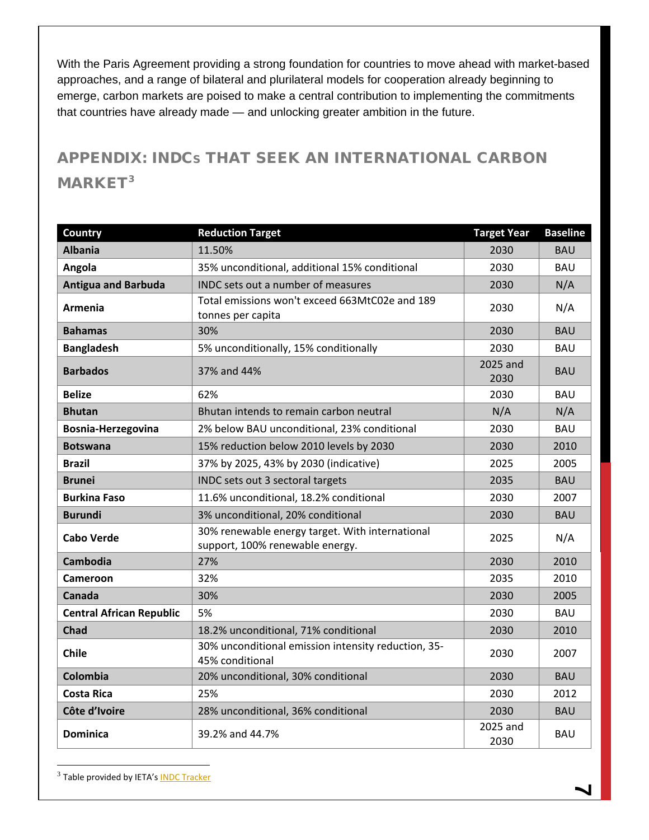With the Paris Agreement providing a strong foundation for countries to move ahead with market-based approaches, and a range of bilateral and plurilateral models for cooperation already beginning to emerge, carbon markets are poised to make a central contribution to implementing the commitments that countries have already made — and unlocking greater ambition in the future.

## APPENDIX: INDCS THAT SEEK AN INTERNATIONAL CARBON MARKET<sup>[3](#page-7-0)</sup>

| <b>Country</b>                  | <b>Reduction Target</b>                                                            | <b>Target Year</b> | <b>Baseline</b> |
|---------------------------------|------------------------------------------------------------------------------------|--------------------|-----------------|
| <b>Albania</b>                  | 11.50%                                                                             | 2030               | <b>BAU</b>      |
| Angola                          | 35% unconditional, additional 15% conditional                                      | 2030               | <b>BAU</b>      |
| <b>Antigua and Barbuda</b>      | INDC sets out a number of measures                                                 | 2030               | N/A             |
| Armenia                         | Total emissions won't exceed 663MtC02e and 189<br>tonnes per capita                | 2030               | N/A             |
| <b>Bahamas</b>                  | 30%                                                                                | 2030               | <b>BAU</b>      |
| <b>Bangladesh</b>               | 5% unconditionally, 15% conditionally                                              | 2030               | <b>BAU</b>      |
| <b>Barbados</b>                 | 37% and 44%                                                                        | 2025 and<br>2030   | <b>BAU</b>      |
| <b>Belize</b>                   | 62%                                                                                | 2030               | <b>BAU</b>      |
| <b>Bhutan</b>                   | Bhutan intends to remain carbon neutral                                            | N/A                | N/A             |
| Bosnia-Herzegovina              | 2% below BAU unconditional, 23% conditional                                        | 2030               | <b>BAU</b>      |
| <b>Botswana</b>                 | 15% reduction below 2010 levels by 2030                                            | 2030               | 2010            |
| <b>Brazil</b>                   | 37% by 2025, 43% by 2030 (indicative)                                              | 2025               | 2005            |
| <b>Brunei</b>                   | INDC sets out 3 sectoral targets                                                   | 2035               | <b>BAU</b>      |
| <b>Burkina Faso</b>             | 11.6% unconditional, 18.2% conditional                                             | 2030               | 2007            |
| <b>Burundi</b>                  | 3% unconditional, 20% conditional                                                  | 2030               | <b>BAU</b>      |
| Cabo Verde                      | 30% renewable energy target. With international<br>support, 100% renewable energy. | 2025               | N/A             |
| <b>Cambodia</b>                 | 27%                                                                                | 2030               | 2010            |
| <b>Cameroon</b>                 | 32%                                                                                | 2035               | 2010            |
| Canada                          | 30%                                                                                | 2030               | 2005            |
| <b>Central African Republic</b> | 5%                                                                                 | 2030               | <b>BAU</b>      |
| <b>Chad</b>                     | 18.2% unconditional, 71% conditional                                               | 2030               | 2010            |
| <b>Chile</b>                    | 30% unconditional emission intensity reduction, 35-<br>45% conditional             | 2030               | 2007            |
| Colombia                        | 20% unconditional, 30% conditional                                                 | 2030               | <b>BAU</b>      |
| <b>Costa Rica</b>               | 25%                                                                                | 2030               | 2012            |
| Côte d'Ivoire                   | 28% unconditional, 36% conditional                                                 | 2030               | <b>BAU</b>      |
| <b>Dominica</b>                 | 39.2% and 44.7%                                                                    | 2025 and<br>2030   | <b>BAU</b>      |

<span id="page-7-0"></span><sup>3</sup> Table provided by IETA's **INDC Tracker** 

 $\overline{a}$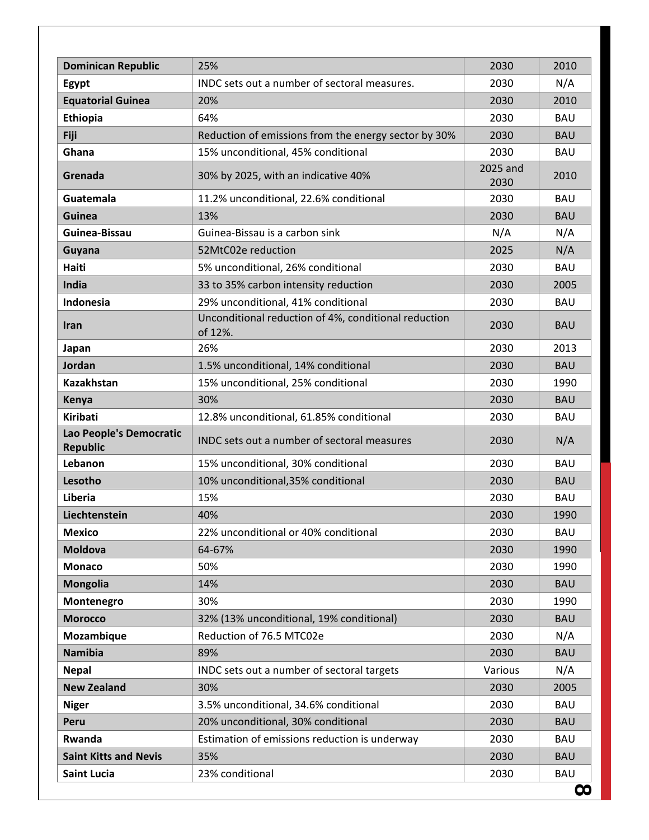| <b>Dominican Republic</b>                  | 25%                                                             | 2030             | 2010       |
|--------------------------------------------|-----------------------------------------------------------------|------------------|------------|
| Egypt                                      | INDC sets out a number of sectoral measures.                    | 2030             | N/A        |
| <b>Equatorial Guinea</b>                   | 20%                                                             | 2030             | 2010       |
| Ethiopia                                   | 64%                                                             | 2030             | <b>BAU</b> |
| <b>Fiji</b>                                | Reduction of emissions from the energy sector by 30%            | 2030             | <b>BAU</b> |
| Ghana                                      | 15% unconditional, 45% conditional                              | 2030             | <b>BAU</b> |
| Grenada                                    | 30% by 2025, with an indicative 40%                             | 2025 and<br>2030 | 2010       |
| Guatemala                                  | 11.2% unconditional, 22.6% conditional                          | 2030             | <b>BAU</b> |
| <b>Guinea</b>                              | 13%                                                             | 2030             | <b>BAU</b> |
| Guinea-Bissau                              | Guinea-Bissau is a carbon sink                                  | N/A              | N/A        |
| Guyana                                     | 52MtC02e reduction                                              | 2025             | N/A        |
| Haiti                                      | 5% unconditional, 26% conditional                               | 2030             | <b>BAU</b> |
| India                                      | 33 to 35% carbon intensity reduction                            | 2030             | 2005       |
| Indonesia                                  | 29% unconditional, 41% conditional                              | 2030             | <b>BAU</b> |
| <b>Iran</b>                                | Unconditional reduction of 4%, conditional reduction<br>of 12%. | 2030             | <b>BAU</b> |
| Japan                                      | 26%                                                             | 2030             | 2013       |
| Jordan                                     | 1.5% unconditional, 14% conditional                             | 2030             | <b>BAU</b> |
| Kazakhstan                                 | 15% unconditional, 25% conditional                              | 2030             | 1990       |
| Kenya                                      | 30%                                                             | 2030             | <b>BAU</b> |
| <b>Kiribati</b>                            | 12.8% unconditional, 61.85% conditional                         | 2030             | <b>BAU</b> |
| Lao People's Democratic<br><b>Republic</b> | INDC sets out a number of sectoral measures                     | 2030             | N/A        |
| Lebanon                                    | 15% unconditional, 30% conditional                              | 2030             | <b>BAU</b> |
| Lesotho                                    | 10% unconditional, 35% conditional                              | 2030             | <b>BAU</b> |
| Liberia                                    | 15%                                                             | 2030             | <b>BAU</b> |
| Liechtenstein                              | 40%                                                             | 2030             | 1990       |
| <b>Mexico</b>                              | 22% unconditional or 40% conditional                            | 2030             | <b>BAU</b> |
| <b>Moldova</b>                             | 64-67%                                                          | 2030             | 1990       |
| <b>Monaco</b>                              | 50%                                                             | 2030             | 1990       |
| <b>Mongolia</b>                            | 14%                                                             | 2030             | <b>BAU</b> |
| Montenegro                                 | 30%                                                             | 2030             | 1990       |
| <b>Morocco</b>                             | 32% (13% unconditional, 19% conditional)                        | 2030             | <b>BAU</b> |
| Mozambique                                 | Reduction of 76.5 MTC02e                                        | 2030             | N/A        |
| <b>Namibia</b>                             | 89%                                                             | 2030             | <b>BAU</b> |
| <b>Nepal</b>                               | INDC sets out a number of sectoral targets                      | Various          | N/A        |
| <b>New Zealand</b>                         | 30%                                                             | 2030             | 2005       |
| <b>Niger</b>                               | 3.5% unconditional, 34.6% conditional                           | 2030             | <b>BAU</b> |
| Peru                                       | 20% unconditional, 30% conditional                              | 2030             | <b>BAU</b> |
| Rwanda                                     | Estimation of emissions reduction is underway                   | 2030             | <b>BAU</b> |
| <b>Saint Kitts and Nevis</b>               | 35%                                                             | 2030             | <b>BAU</b> |
| <b>Saint Lucia</b>                         | 23% conditional                                                 | 2030             | <b>BAU</b> |
|                                            |                                                                 |                  | $\infty$   |